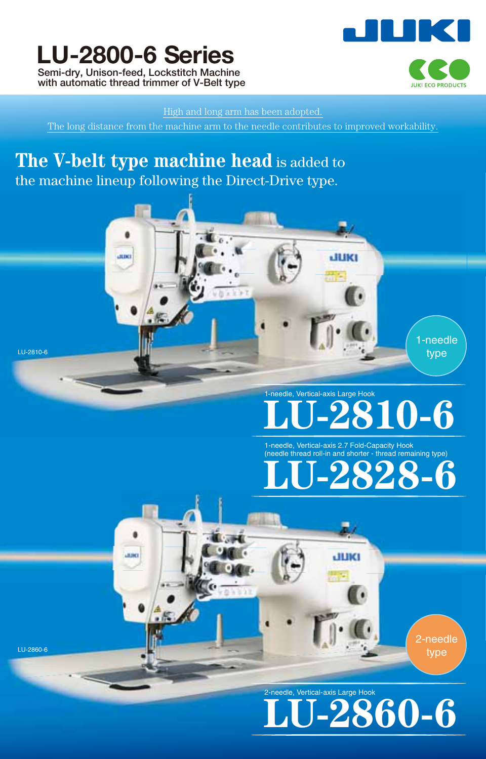# **LU-2800-6 Series Semi-dry, Unison-feed, Lockstitch Machine**

**with automatic thread trimmer of V-Belt type**

LISTING

LU-2810-6

LU-2860-6



## High and long arm has been adopted.

The long distance from the machine arm to the needle contributes to improved workability.

# The V-belt type machine head is added to the machine lineup following the Direct-Drive type.



# **RTO-6** 1-needle, Vertical-axis Large Hook



JUKI

2-needle type

**LU-2860-6**

2-needle, Vertical-axis Large Hook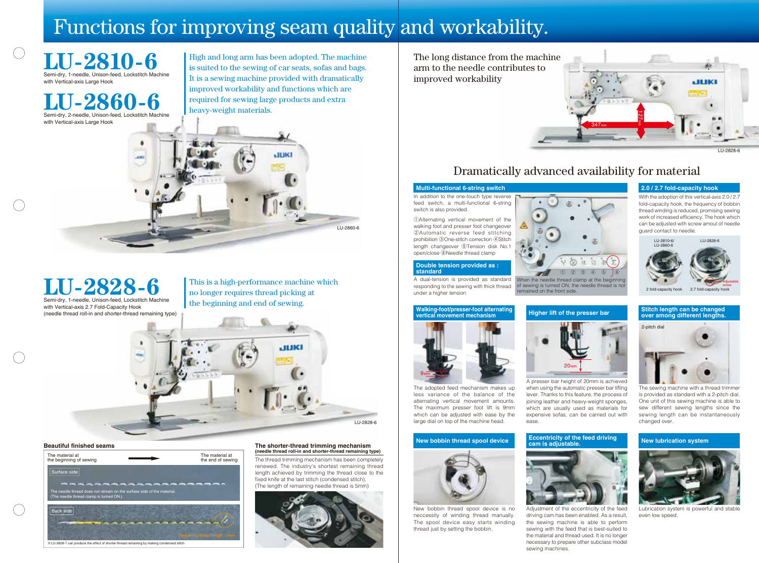



The long distance from the machine arm to the needle contributes to improved workability

# Dramatically advanced availability for material











## **Beautiful finished seams**

The thread trimming mechanism has been completely renewed. The industry's shortest remaining thread length achieved by trimming the thread close to the fixed knife at the last stitch (condensed stitch). (The length of remaining needle thread is 5mm)







High and long arm has been adopted. The machine is suited to the sewing of car seats, sofas and bags. It is a sewing machine provided with dramatically improved workability and functions which are required for sewing large products and extra heavy-weight materials.



**LU-2828-6** 

## **The shorter-thread trimming mechanism (needle thread roll-in and shorter-thread remaining type)**

**Double tension provided as :** 

**standard**

# $(1)$   $(2)$   $(3)$   $(4)$   $(5)$   $(6)$

### **Walking-foot/presser-foot alternating vertical movement mechanism**

## **Stitch length can be changed over among different lengths.**

**Eccentricity of the feed driving cam is adjustable.**

## **New bobbin thread spool device New lubrication system**



## **Multi-functional 6-string switch 2.0 / 2.7 fold-capacity hook**



Semi-dry, 1-needle, Unison-feed, Lockstitch Machine with Vertical-axis 2.7 Fold-Capacity Hook (needle thread roll-in and shorter-thread remaining type)

> The sewing machine with a thread trimmer is provided as standard with a 2-pitch dial. One unit of this sewing machine is able to sew different sewing lengths since the sewing length can be instantaneously changed over.

# Functions for improving seam quality and workability.

**LU-2810-6** Semi-dry, 1-needle, Unison-feed, Lockstitch Machine with Vertical-axis Large Hook



**LU-2860-6** Semi-dry, 2-needle, Unison-feed, Lockstitch Machine

> This is a high-performance machine which no longer requires thread picking at the beginning and end of sewing.



driving cam has been enabled. As a result, the sewing machine is able to perform sewing with the feed that is best-suited to the material and thread used. It is no longer necessary to prepare other subclass model sewing machines.

A presser bar height of 20mm is achieved when using the automatic presser bar lifting lever. Thanks to this feature, the process of joining leather and heavy-weight sponges, which are usually used as materials for expensive sofas, can be carried out with ease.



Lubrication system is powerful and stable even low speed.

In addition to the one-touch type reverse feed switch, a multi-functional 6-string switch is also provided.

①Alternating vertical movement of the walking foot and presser foot changeover ②Automatic reverse feed stitching prohibition ③One-stitch correction ④Stitch length changeover ⑤Tension disk No.1 open/close ⑥Needle thread clamp

The adopted feed mechanism makes up less variance of the balance of the alternating vertical movement amounts. The maximum presser foot lift is 9mm which can be adjusted with ease by the large dial on top of the machine head.

A dual-tension is provided as standard responding to the sewing with thick thread under a higher tension When the needle thread clamp at the beginning of sewing is turned ON, the needle thread is no remained on the front side.

New bobbin thread spool device is no neccessity of winding thread manually. The spool device easy starts winding thread just by setting the bobbin.

With the adoption of this vertical-axis 2.0 / 2.7 fold-capacity hook, the frequency of bobbin thread winding is reduced, promising sewing work of increased efficiency. The hook which can be adjusted with screw amout of needle guard contact to needle.